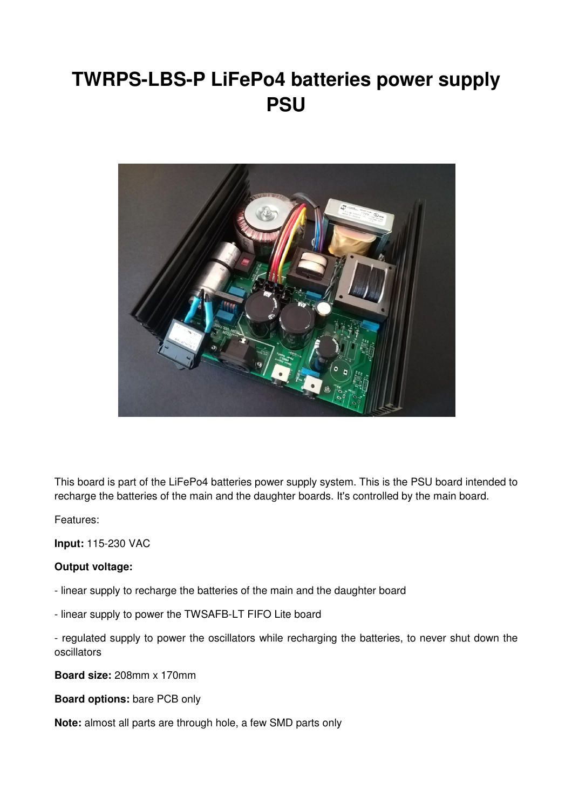# **TWRPS-LBS-P LiFePo4 batteries power supply PSU**



This board is part of the LiFePo4 batteries power supply system. This is the PSU board intended to recharge the batteries of the main and the daughter boards. It's controlled by the main board.

Features:

**Input:** 115-230 VAC

## **Output voltage:**

- linear supply to recharge the batteries of the main and the daughter board

- linear supply to power the TWSAFB-LT FIFO Lite board

- regulated supply to power the oscillators while recharging the batteries, to never shut down the oscillators

**Board size:** 208mm x 170mm

**Board options:** bare PCB only

**Note:** almost all parts are through hole, a few SMD parts only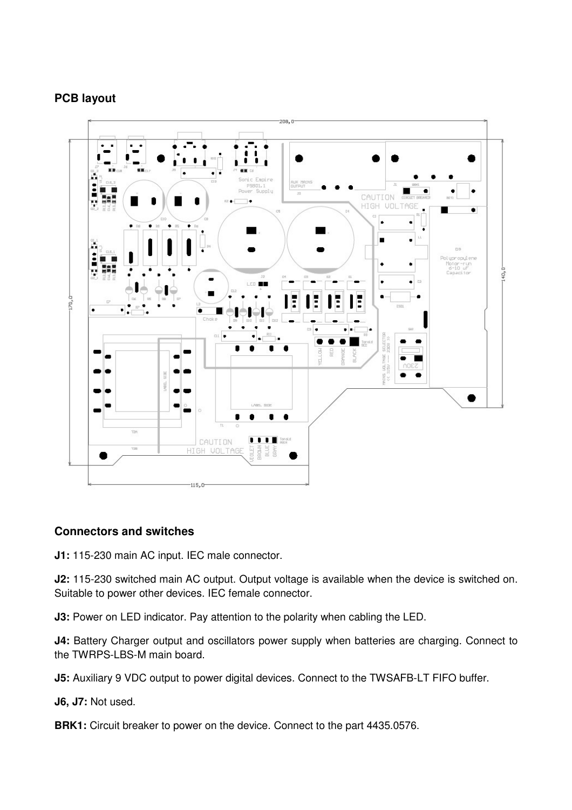# **PCB layout**



## **Connectors and switches**

**J1:** 115-230 main AC input. IEC male connector.

**J2:** 115-230 switched main AC output. Output voltage is available when the device is switched on. Suitable to power other devices. IEC female connector.

**J3:** Power on LED indicator. Pay attention to the polarity when cabling the LED.

**J4:** Battery Charger output and oscillators power supply when batteries are charging. Connect to the TWRPS-LBS-M main board.

**J5:** Auxiliary 9 VDC output to power digital devices. Connect to the TWSAFB-LT FIFO buffer.

**J6, J7:** Not used.

**BRK1:** Circuit breaker to power on the device. Connect to the part 4435.0576.